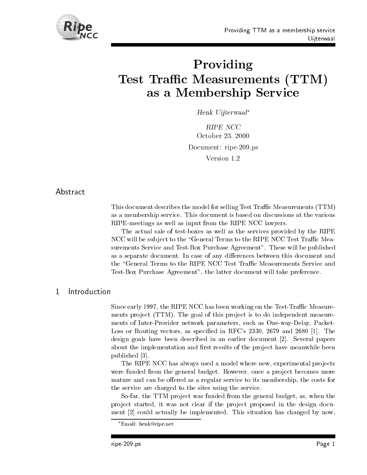

# ProvidingTest Trac Measurements TTMas a Membership Service Service Service Service Service Service Service Service Service Service Service Service

Henk Uijterwaal

RIPE NCC October - Document: ripe-209.ps Version 1.2

# Abstract

This document describes the model for selling Test Traffic Measurements (TTM) as a membership service This document is based on discussions at the various RIPE-meetings as well as input from the RIPE NCC lawyers.

The actual sale of test-boxes as well as the services provided by the RIPE NCC will be subject to the "General Terms to the RIPE NCC Test Traffic Measurements Service and Test-Box Purchase Agreement". These will be published as a separate document. In case of any differences between this document and the "General Terms to the RIPE NCC Test Traffic Measurements Service and Test-Box Purchase Agreement", the latter document will take preference.

### $\mathbf{1}$ Introduction

Since early the RIPE NCC has been working on the TestTrac Measure ments pro ject TTM- The goal of this pro ject is to do independent measure ments of Inter-Provider network parameters, such as One-way-Delay, Packet-Loss or Routing vectors as specific in RFC specific in RFC specific in RFC specific in RFC specific in RFC specific in RFC specific in RFC specific in RFC specific in RFC specific in RFC specific in RFC specific in RFC spe design goals have been described in an earlier document [2]. Several papers about the implementation and first results of the project have meanwhile been published

The RIPE NCC has always used a model where new, experimental projects were funded from the general budget. However, once a project becomes more mature and can be offered as a regular service to its membership, the costs for the service are charged to the sites using the service

So-far, the TTM project was funded from the general budget, as, when the project started, it was not clear if the project proposed in the design document  $[2]$  could actually be implemented. This situation has changed by now,

Email: nenk@ripe.net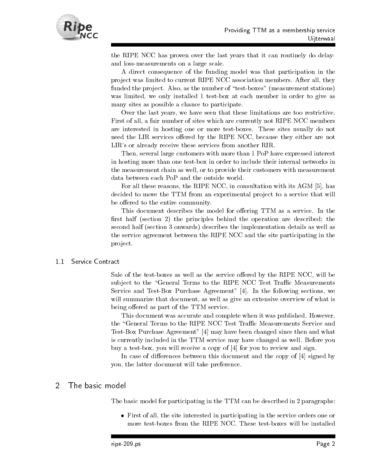

the RIPE NCC has proven over the last years that it can routinely do delay and loss-measurements on a large scale.

A direct consequence of the funding model was that participation in the project was limited to current RIPE NCC association members. After all, they funded the project. Also, as the number of "test-boxes" (measurement stations) was limited, we only installed 1 test-box at each member in order to give as many sites as possible a chance to participate

Over the last years we have seen that these limitations are too restrictive First of all a fair number of sites which are currently not RIPE NCC members are interested in hosting one or more test-boxes. These sites usually do not need the LIR services offered by the RIPE NCC, because they either are not LIR's or already receive these services from another RIR.

Then, several large customers with more than 1 PoP have expressed interest in hosting more than one test-box in order to include their internal networks in the measurement chain as well, or to provide their customers with measurement data between each PoP and the outside world

For all these reasons, the RIPE NCC, in consultation with its AGM  $[5]$ , has decided to move the TTM from an experimental project to a service that will be offered to the entire community.

This document describes the model for offering TTM as a service. In the rst half section - the principles behind the operation are described the second half section onwards- describes the implementation details as well as the service agreement between the RIPE NCC and the site participating in the project.

#### Service Contract  $1.1$

Sale of the test-boxes as well as the service offered by the RIPE NCC, will be subject to the "General Terms to the RIPE NCC Test Traffic Measurements Service and Test-Box Purchase Agreement"  $[4]$ . In the following sections, we will summarize that document, as well as give an extensive overview of what is being offered as part of the TTM service.

This document was accurate and complete when it was published. However, the "General Terms to the RIPE NCC Test Traffic Measurements Service and Test-Box Purchase Agreement" [4] may have been changed since then and what is currently included in the TTM service may have changed as well. Before you buy a test-box, you will receive a copy of  $[4]$  for you to review and sign.

In case of differences between this document and the copy of  $[4]$  signed by you, the latter document will take preference.

#### $\mathcal{P}$ The basic model

The basic model for participating in the TTM can be described in 2 paragraphs:

 First of all the site interested in participating in the service orders one or more test-boxes from the RIPE NCC. These test-boxes will be installed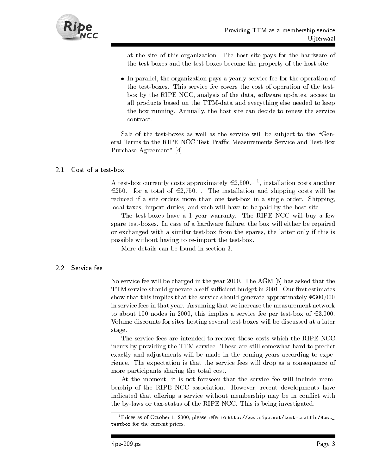

at the site of this organization. The host site pays for the hardware of the test-boxes and the test-boxes become the property of the host site.

 In parallel the organization pays a yearly service fee for the operation of the test-boxes. This service fee covers the cost of operation of the testbox by the RIPE NCC, analysis of the data, software updates, access to all products based on the TTM-data and everything else needed to keep the box running. Annually, the host site can decide to renew the service contract

Sale of the test-boxes as well as the service will be subject to the "General Terms to the RIPE NCC Test Traffic Measurements Service and Test-Box Purchase Agreement" [4].

#### Cost of a test-box  $21$

A test-box currently costs approximately  $\infty$ ,  $500$ .  $\overline{\phantom{0}}$  , installation costs another  $\epsilon$ 250. for a total of  $\epsilon$ 2,750. The installation and shipping costs will be reduced if a site orders more than one test-box in a single order. Shipping, local taxes, import duties, and such will have to be paid by the host site.

The test-boxes have a 1 year warranty. The RIPE NCC will buy a few spare test-boxes. In case of a hardware failure, the box will either be repaired or exchanged with a similar test-box from the spares, the latter only if this is possible without having to re-import the test-box.

More details can be found in section 3.

## -- Service fee

No service fee will be charged in the year 2000. The AGM  $[5]$  has asked that the TTM service should generate a self-sufficient budget in 2001. Our first estimates show that this implies that the service should generate approximately  $\epsilon$ 300,000 in service fees in that year. Assuming that we increase the measurement network to about 100 nodes in 2000, this implies a service fee per test-box of  $\epsilon$ 3,000. Volume discounts for sites hosting several test-boxes will be discussed at a later stage

The service fees are intended to recover those costs which the RIPE NCC incurs by providing the TTM service These are still somewhat hard to predict exactly and adjustments will be made in the coming years according to expe rience. The expectation is that the service fees will drop as a consequence of more participants sharing the total cost

At the moment, it is not foreseen that the service fee will include membership of the RIPE NCC association. However, recent developments have indicated that offering a service without membership may be in conflict with the by-laws or tax-status of the RIPE NCC. This is being investigated.

<sup>-</sup>Prices as of October 1, 2000, please refer to <code>http://www.ripe.net/test-traffic/Host\_</code> testbox for the current prices-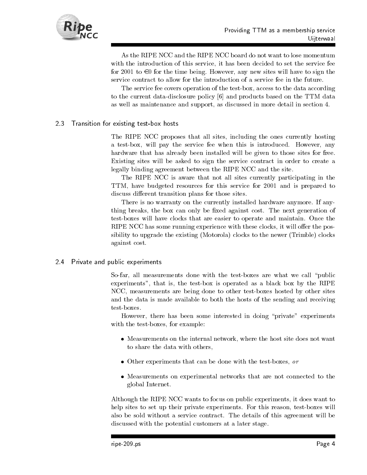

As the RIPE NCC and the RIPE NCC board do not want to lose momentum with the introduction of this service, it has been decided to set the service fee for 2001 to  $\epsilon$ 0 for the time being. However, any new sites will have to sign the service contract to allow for the introduction of a service fee in the future

The service fee covers operation of the test-box, access to the data according to the current data-disclosure policy [6] and products based on the TTM data as well as maintenance and support, as discussed in more detail in section 4.

#### -Transition for existing test-box hosts

The RIPE NCC proposes that all sites, including the ones currently hosting a test-box, will pay the service fee when this is introduced. However, any hardware that has already been installed will be given to those sites for free Existing sites will be asked to sign the service contract in order to create a legally binding agreement between the RIPE NCC and the site

The RIPE NCC is aware that not all sites currently participating in the TTM, have budgeted resources for this service for 2001 and is prepared to discuss different transition plans for those sites.

There is no warranty on the currently installed hardware anymore. If anything breaks, the box can only be fixed against cost. The next generation of test-boxes will have clocks that are easier to operate and maintain. Once the RIPE NCC has some running experience with these clocks, it will offer the possibility to upgrade the existing processing to the new to the motor (motorola) the new against cost

#### - -Private and public experiments

So-far, all measurements done with the test-boxes are what we call "public experiments", that is, the test-box is operated as a black box by the RIPE NCC, measurements are being done to other test-boxes hosted by other sites and the data is made available to both the hosts of the sending and receiving test-boxes.

However, there has been some interested in doing "private" experiments with the test-boxes, for example:

- Measurements on the internal network where the host site does not want to share the data with others
- Other experiments that can be done with the testboxes or
- Measurements on experimental networks that are not connected to the global Internet

Although the RIPE NCC wants to focus on public experiments it does want to help sites to set up their private experiments. For this reason, test-boxes will also be sold without a service contract. The details of this agreement will be discussed with the potential customers at a later stage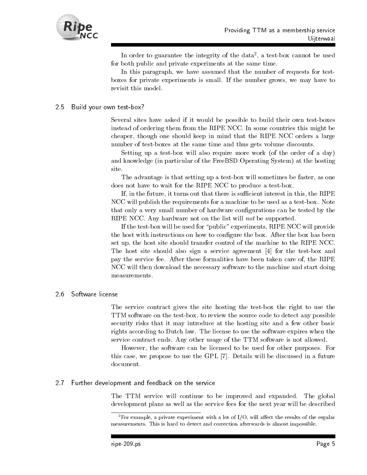

In order to guarantee the integrity of the data a testbox cannot be used for both public and private experiments at the same time

In this paragraph, we have assumed that the number of requests for testboxes for private experiments is small If the number grows we may have to revisit this model

# Build your own test-box?

Several sites have asked if it would be possible to build their own testboxes instead of ordering them from the RIPE NCC In some countries this might be cheaper, though one should keep in mind that the RIPE NCC orders a large number of test-boxes at the same time and thus gets volume discounts.

Setting up a test-box will also require more work (of the order of a day) and the free  $\alpha$  in particular of the Free BSD  $\alpha$  particular  $\alpha$  of the free BSD  $\alpha$ site

The advantage is that setting up a test-box will sometimes be faster, as one does not have to wait for the RIPE NCC to produce a test-box.

If, in the future, it turns out that there is sufficient interest in this, the RIPE NCC will publish the requirements for a machine to be used as a test-box. Note that only a very small number of hardware congurations can be tested by the RIPE NCC. Any hardware not on the list will *not* be supported.

If the test-box will be used for "public" experiments, RIPE NCC will provide the host with instructions on how to congure the box After the box has been set up, the host site should transfer control of the machine to the RIPE NCC. The host site should also sign a service agreement  $[4]$  for the test-box and pay the service fee After these formalities have been taken care of the RIPE NCC will then download the necessary software to the machine and start doing

## Software license

The service contract gives the site hosting the test-box the right to use the TTM software on the test-box, to review the source code to detect any possible security risks that it may introduce at the hosting site and a few other basic rights according to Dutch law The license to use the software expires when the service contract ends. Any other usage of the TTM software is not allowed.

However, the software can be licensed to be used for other purposes. For this case, we propose to use the GPL [7]. Details will be discussed in a future document.

#### - Further development and feedback on the service

The TTM service will continue to be improved and expanded. The global development plans as well as the service fees for the next year will be described

<sup>&</sup>lt;sup>2</sup>For example, a private experiment with a lot of  $I/O$ , will affect the results of the regular measurements- This is hard to detect and correction afterwards is almost impossible-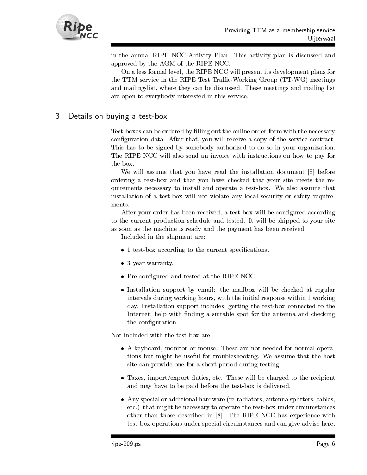

in the annual RIPE NCC Activity Plan This activity plan is discussed and approved by the AGM of the RIPE NCC

On a less formal level, the RIPE NCC will present its development plans for the TTM service in the RIPE Test TracWorking Group TTWG- meetings and mailing-list, where they can be discussed. These meetings and mailing list are open to everybody interested in this service

### 3 Details on buying a test-box

Test-boxes can be ordered by filling out the online order-form with the necessary configuration data. After that, you will receive a copy of the service contract. This has to be signed by somebody authorized to do so in your organization The RIPE NCC will also send an invoice with instructions on how to pay for

We will assume that you have read the installation document  $[8]$  before ordering a testbox and that you have checked that your site meets the re quirements necessary to install and operate a testbox We also assume that installation of a test-box will not violate any local security or safety requirements.

After your order has been received, a test-box will be configured according to the current production schedule and tested. It will be shipped to your site as soon as the machine is ready and the payment has been received

Included in the shipment are

- test box according to the current specific test box according to the current specific test  $\mathbf{r}_i$
- y y man was a more warranty of the second state of the second state of the second state of the second state of
- Precongured and tested at the RIPE NCC
- Installation support by email the mailbox will be checked at regular intervals during working hours, with the initial response within 1 working day. Installation support includes: getting the test-box connected to the Internet, help with finding a suitable spot for the antenna and checking the configuration.

Not included with the test-box are:

- A keyboard monitor or mouse These are not needed for normal opera tions but might be useful for troubleshooting. We assume that the host site can provide one for a short period during testing
- Taxes importexport duties etc These will be charged to the recipient and may have to be paid before the test-box is delivered.
- Any special or additional hardware reradiators antenna splitters cables etc- that might be necessary to operate the testbox under circumstances other than those described in  $[8]$ . The RIPE NCC has experience with test-box operations under special circumstances and can give advise here.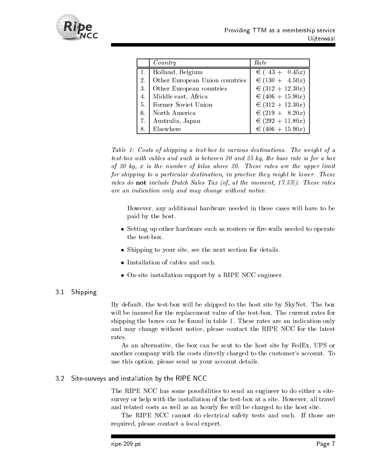

|    | Country                        | Rate               |
|----|--------------------------------|--------------------|
| 1. | Holland, Belgium               | $\in (43 + 0.45x)$ |
| 2. | Other European Union countries | € $(130 + 4.50x)$  |
| 3. | Other European countries       | € $(312 + 12.30x)$ |
| 4. | Middle east, Africa            | € $(406 + 15.90x)$ |
| 5. | Former Soviet Union            | € $(312 + 12.30x)$ |
| 6. | North America                  | € $(219 + 8.20x)$  |
| 7. | Australia, Japan               | € $(292 + 11.80x)$ |
| 8. | Elsewhere                      | € $(406 + 15.90x)$ |

Table Costs of shipping <sup>a</sup> test-box to various destinations The weight of <sup>a</sup>  $\iota$ cs $\iota$ -bo $\iota$  with cables and such is between  $z$ o and  $z$ o m $q$ , the base rate is for a bo $\iota$ of we issted in the isthere is the second weaken were more interested in a single rate in the upper limit of t for shipping to <sup>a</sup> particular destination in practice they might be lower These rates ao  $\bf n$ ot motaat  $\bm D$ aten bates Tax (0), at the moment, IT.070). These rates are an indication on the matrix and may change without may relate the matrix of the change

However, any additional hardware needed in these cases will have to be paid by the host

- Setting up other hardware such as routers or rewalls needed to operate the test-box.
- Shipping to your site see the next section for details
- 
- Onsite installation support by a RIPE NCC engineer

#### 3.1 Shipping

By default, the test-box will be shipped to the host site by  $SkyNet$ . The box will be insured for the replacement value of the test-box. The current rates for shipping the boxes can be found in table 1. These rates are an indication only and may change without notice, please contact the RIPE NCC for the latest rates

As an alternative, the box can be sent to the host site by FedEx, UPS or another company with the costs directly charged to the customer's account. To use this option, please send us your account details.

#### $3.2$ Site-surveys and installation by the RIPE NCC

The RIPE NCC has some possibilities to send an engineer to do either a site survey or help with the installation of the test-box at a site. However, all travel and related costs as well as an hourly fee will be charged to the host site

The RIPE NCC cannot do electrical safety tests and such If those are required, please contact a local expert.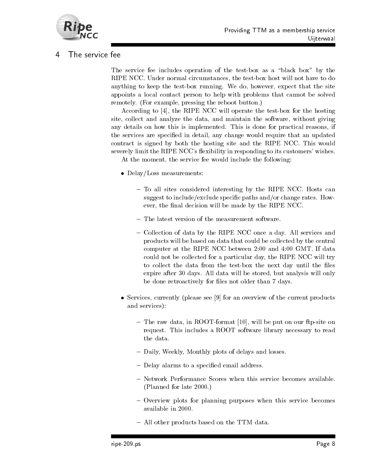

### 4 The service fee

The service fee includes operation of the test-box as a "black box" by the RIPE NCC. Under normal circumstances, the test-box host will not have to do anything to keep the test-box running. We do, however, expect that the site appoints a local contact person to help with problems that cannot be solved remotely. (For example, pressing the reboot button.)

According to  $[4]$ , the RIPE NCC will operate the test-box for the hosting site, collect and analyze the data, and maintain the software, without giving any details on how this is implemented. This is done for practical reasons, if the services are specified in detail, any change would require that an updated contract is signed by both the hosting site and the RIPE NCC. This would severely limit the RIPE NCC's flexibility in responding to its customers' wishes. At the moment, the service fee would include the following:

- Delay Loss measurements and the contract of the contract of the contract of the contract of the contract of the
	- To all sites considered interesting by the RIPE NCC. Hosts can suggest to include/exclude specific paths and/or change rates. However, the final decision will be made by the RIPE NCC.
	- The latest version of the measurement software.
	- Collection of data by the RIPE NCC once a day All services and products will be based on data that could be collected by the central computer at the RIPE NCC between  $2:00$  and  $4:00$  GMT. If data could not be collected for a particular day, the RIPE NCC will try to collect the data from the test-box the next day until the files expire after 30 days. All data will be stored, but analysis will only be done retroactively for files not older than 7 days.
- . See an overview of the current products and the current products products and current products of the current products of the current products of the current products of the current products of the current products of th and services-
	- $-$  The raw data, in ROOT-format [10], will be put on our ftp-site on request. This includes a ROOT software library necessary to read the data
	- Daily, Weekly, Monthly plots of delays and losses.
	- Delay alarms to a specified email address.
	- Network Performance Scores when this service becomes available.  $(Planned for late 2000.)$
	- Overview plots for planning purposes when this service becomes available in
	- All other products based on the TTM data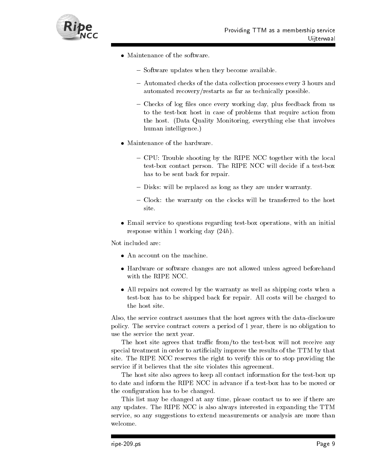

- - Software updates when they become available.
	- Automated checks of the data collection processes every 3 hours and automated recovery/restarts as far as technically possible.
	- $\sim$  Checks of log files once every working day, plus feedback from us to the test-box host in case of problems that require action from the host. (Data Quality Monitoring, everything else that involves human intelligence.)
- - CPU: Trouble shooting by the RIPE NCC together with the local test-box contact person. The RIPE NCC will decide if a test-box has to be sent back for repair.
	- Disks: will be replaced as long as they are under warranty.
	- Clock: the warranty on the clocks will be transferred to the host site
- Email service to questions regarding testbox operations with an initial response within 1 working day  $(24h)$ .

Not included are:

- An account on the machine.
- Hardware or software changes are not allowed unless agreed beforehand with the RIPE NCC
- All repairs not covered by the warranty as well as shipping costs when a test-box has to be shipped back for repair. All costs will be charged to the host site.

Also, the service contract assumes that the host agrees with the data-disclosure policy. The service contract covers a period of 1 year, there is no obligation to use the service the next year

The host site agrees that traffic from/to the test-box will not receive any special treatment in order to artificially improve the results of the TTM by that site The RIPE NCC reserves the right to verify this or to stop providing the service if it believes that the site violates this agreement.

The host site also agrees to keep all contact information for the test-box up to date and inform the RIPE NCC in advance if a test-box has to be moved or the configuration has to be changed.

This list may be changed at any time, please contact us to see if there are any updates The RIPE NCC is also always interested in expanding the TTM service, so any suggestions to extend measurements or analysis are more than welcome.